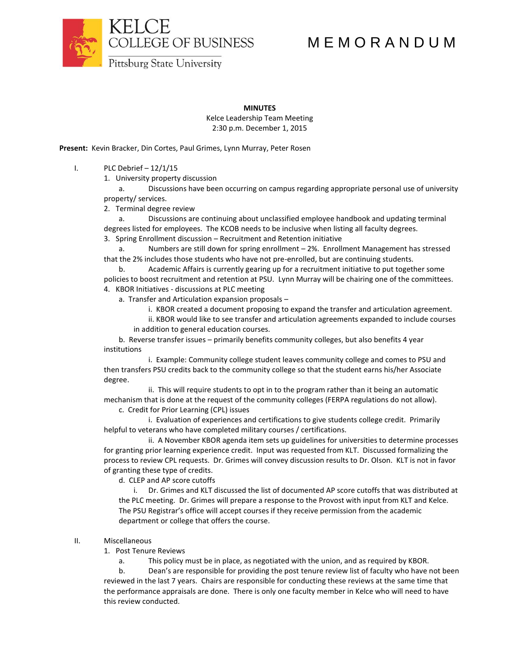

# M E M O R A N D U M

**Pittsburg State University** 

## **MINUTES**

Kelce Leadership Team Meeting 2:30 p.m. December 1, 2015

**Present:** Kevin Bracker, Din Cortes, Paul Grimes, Lynn Murray, Peter Rosen

I. PLC Debrief  $-12/1/15$ 

1. University property discussion

a. Discussions have been occurring on campus regarding appropriate personal use of university property/ services.

2. Terminal degree review

a. Discussions are continuing about unclassified employee handbook and updating terminal degrees listed for employees. The KCOB needs to be inclusive when listing all faculty degrees.

3. Spring Enrollment discussion – Recruitment and Retention initiative

a. Numbers are still down for spring enrollment – 2%. Enrollment Management has stressed that the 2% includes those students who have not pre-enrolled, but are continuing students.

b. Academic Affairs is currently gearing up for a recruitment initiative to put together some policies to boost recruitment and retention at PSU. Lynn Murray will be chairing one of the committees. 4. KBOR Initiatives - discussions at PLC meeting

a. Transfer and Articulation expansion proposals –

i. KBOR created a document proposing to expand the transfer and articulation agreement.

ii. KBOR would like to see transfer and articulation agreements expanded to include courses in addition to general education courses.

b. Reverse transfer issues – primarily benefits community colleges, but also benefits 4 year institutions

i. Example: Community college student leaves community college and comes to PSU and then transfers PSU credits back to the community college so that the student earns his/her Associate degree.

ii. This will require students to opt in to the program rather than it being an automatic mechanism that is done at the request of the community colleges (FERPA regulations do not allow).

c. Credit for Prior Learning (CPL) issues

i. Evaluation of experiences and certifications to give students college credit. Primarily helpful to veterans who have completed military courses / certifications.

ii. A November KBOR agenda item sets up guidelines for universities to determine processes for granting prior learning experience credit. Input was requested from KLT. Discussed formalizing the process to review CPL requests. Dr. Grimes will convey discussion results to Dr. Olson. KLT is not in favor of granting these type of credits.

d. CLEP and AP score cutoffs

i. Dr. Grimes and KLT discussed the list of documented AP score cutoffs that was distributed at the PLC meeting. Dr. Grimes will prepare a response to the Provost with input from KLT and Kelce. The PSU Registrar's office will accept courses if they receive permission from the academic department or college that offers the course.

## II. Miscellaneous

1. Post Tenure Reviews

a. This policy must be in place, as negotiated with the union, and as required by KBOR.

b. Dean's are responsible for providing the post tenure review list of faculty who have not been reviewed in the last 7 years. Chairs are responsible for conducting these reviews at the same time that the performance appraisals are done. There is only one faculty member in Kelce who will need to have this review conducted.